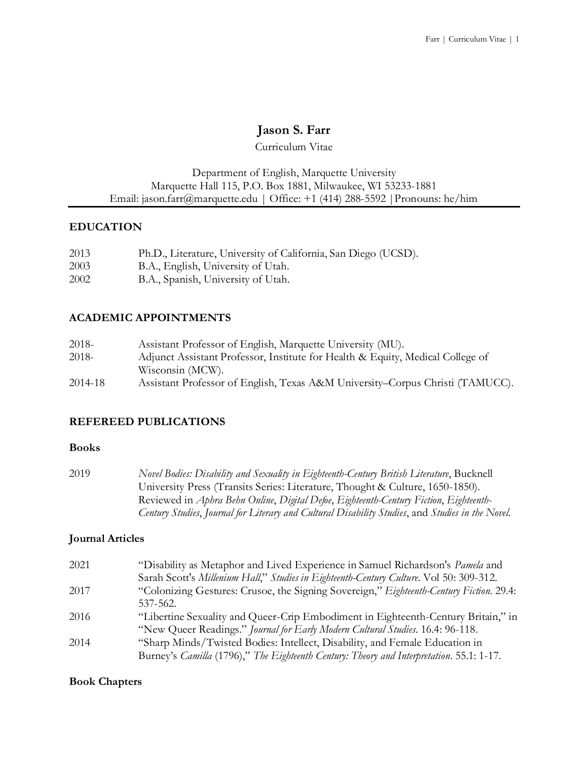# **Jason S. Farr**

Curriculum Vitae

### Department of English, Marquette University Marquette Hall 115, P.O. Box 1881, Milwaukee, WI 53233-1881 Email: jason.farr@marquette.edu | Office: +1 (414) 288-5592 |Pronouns: he/him

### **EDUCATION**

- 2003 B.A., English, University of Utah.
- 2002 B.A., Spanish, University of Utah.

## **ACADEMIC APPOINTMENTS**

| 2018-   | Assistant Professor of English, Marquette University (MU).                     |
|---------|--------------------------------------------------------------------------------|
| 2018-   | Adjunct Assistant Professor, Institute for Health & Equity, Medical College of |
|         | Wisconsin (MCW).                                                               |
| 2014-18 | Assistant Professor of English, Texas A&M University–Corpus Christi (TAMUCC).  |

## **REFEREED PUBLICATIONS**

#### **Books**

2019 *Novel Bodies: Disability and Sexuality in Eighteenth-Century British Literature*, Bucknell University Press (Transits Series: Literature, Thought & Culture, 1650-1850). Reviewed in *Aphra Behn Online*, *Digital Defoe*, *Eighteenth-Century Fiction*, *Eighteenth-Century Studies*, *Journal for Literary and Cultural Disability Studies*, and *Studies in the Novel*.

#### **Journal Articles**

| 2021 | "Disability as Metaphor and Lived Experience in Samuel Richardson's Pamela and           |
|------|------------------------------------------------------------------------------------------|
|      | Sarah Scott's Millenium Hall," Studies in Eighteenth-Century Culture. Vol 50: 309-312.   |
| 2017 | "Colonizing Gestures: Crusoe, the Signing Sovereign," Eighteenth-Century Fiction. 29.4:  |
|      | 537-562.                                                                                 |
| 2016 | "Libertine Sexuality and Queer-Crip Embodiment in Eighteenth-Century Britain," in        |
|      | "New Queer Readings." Journal for Early Modern Cultural Studies. 16.4: 96-118.           |
| 2014 | "Sharp Minds/Twisted Bodies: Intellect, Disability, and Female Education in              |
|      | Burney's Camilla (1796)," The Eighteenth Century: Theory and Interpretation. 55.1: 1-17. |

#### **Book Chapters**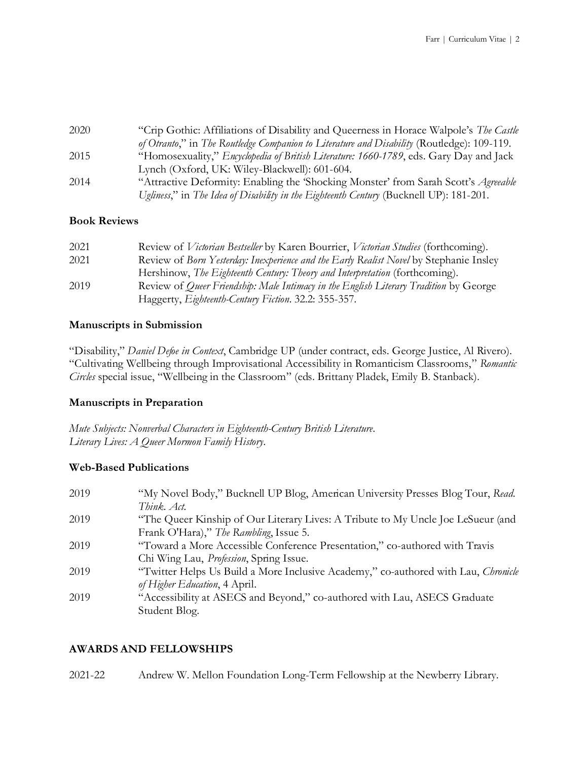| 2020 | "Crip Gothic: Affiliations of Disability and Queerness in Horace Walpole's The Castle          |
|------|------------------------------------------------------------------------------------------------|
|      | of Otranto," in The Routledge Companion to Literature and Disability (Routledge): 109-119.     |
| 2015 | "Homosexuality," <i>Encyclopedia of British Literature: 1660-1789</i> , eds. Gary Day and Jack |
|      | Lynch (Oxford, UK: Wiley-Blackwell): 601-604.                                                  |
| 2014 | "Attractive Deformity: Enabling the 'Shocking Monster' from Sarah Scott's <i>Agreeable</i>     |
|      | Ugliness," in The Idea of Disability in the Eighteenth Century (Bucknell UP): 181-201.         |

#### **Book Reviews**

| 2021 | Review of <i>Victorian Bestseller</i> by Karen Bourrier, <i>Victorian Studies</i> (forthcoming). |
|------|--------------------------------------------------------------------------------------------------|
| 2021 | Review of Born Yesterday: Inexperience and the Early Realist Novel by Stephanie Insley           |
|      | Hershinow, The Eighteenth Century: Theory and Interpretation (forthcoming).                      |
| 2019 | Review of <i>Queer Friendship: Male Intimacy in the English Literary Tradition</i> by George     |
|      | Haggerty, <i>Eighteenth-Century Fiction</i> . 32.2: 355-357.                                     |

#### **Manuscripts in Submission**

"Disability," *Daniel Defoe in Context*, Cambridge UP (under contract, eds. George Justice, Al Rivero). "Cultivating Wellbeing through Improvisational Accessibility in Romanticism Classrooms," *Romantic Circles* special issue, "Wellbeing in the Classroom" (eds. Brittany Pladek, Emily B. Stanback).

#### **Manuscripts in Preparation**

*Mute Subjects: Nonverbal Characters in Eighteenth-Century British Literature*. *Literary Lives: A Queer Mormon Family History*.

#### **Web-Based Publications**

| 2019 | "My Novel Body," Bucknell UP Blog, American University Presses Blog Tour, Read.    |
|------|------------------------------------------------------------------------------------|
|      | Think. Act.                                                                        |
| 2019 | "The Queer Kinship of Our Literary Lives: A Tribute to My Uncle Joe LeSueur (and   |
|      | Frank O'Hara)," The Rambling, Issue 5.                                             |
| 2019 | "Toward a More Accessible Conference Presentation," co-authored with Travis        |
|      | Chi Wing Lau, <i>Profession</i> , Spring Issue.                                    |
| 2019 | "Twitter Helps Us Build a More Inclusive Academy," co-authored with Lau, Chronicle |
|      | of Higher Education, 4 April.                                                      |
| 2019 | "Accessibility at ASECS and Beyond," co-authored with Lau, ASECS Graduate          |
|      | Student Blog.                                                                      |

#### **AWARDS AND FELLOWSHIPS**

2021-22 Andrew W. Mellon Foundation Long-Term Fellowship at the Newberry Library.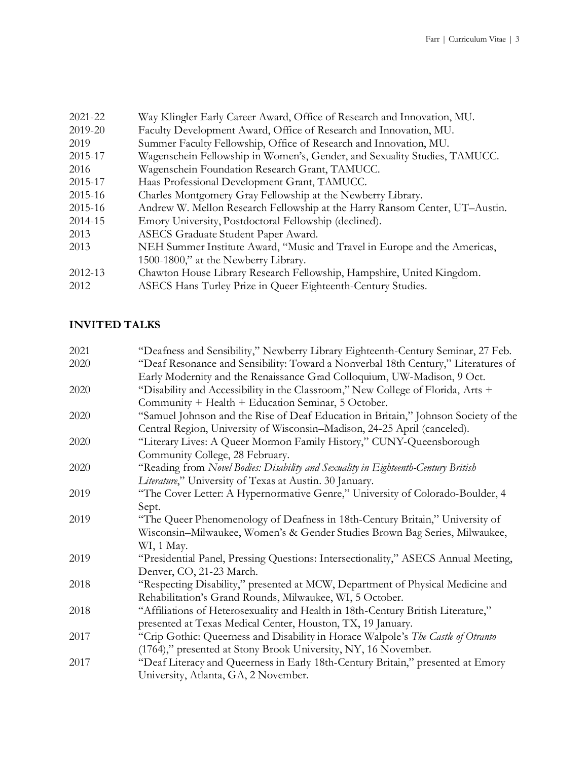| 2021-22 | Way Klingler Early Career Award, Office of Research and Innovation, MU.     |
|---------|-----------------------------------------------------------------------------|
| 2019-20 | Faculty Development Award, Office of Research and Innovation, MU.           |
| 2019    | Summer Faculty Fellowship, Office of Research and Innovation, MU.           |
| 2015-17 | Wagenschein Fellowship in Women's, Gender, and Sexuality Studies, TAMUCC.   |
| 2016    | Wagenschein Foundation Research Grant, TAMUCC.                              |
| 2015-17 | Haas Professional Development Grant, TAMUCC.                                |
| 2015-16 | Charles Montgomery Gray Fellowship at the Newberry Library.                 |
| 2015-16 | Andrew W. Mellon Research Fellowship at the Harry Ransom Center, UT-Austin. |
| 2014-15 | Emory University, Postdoctoral Fellowship (declined).                       |
| 2013    | ASECS Graduate Student Paper Award.                                         |
| 2013    | NEH Summer Institute Award, "Music and Travel in Europe and the Americas,   |
|         | 1500-1800," at the Newberry Library.                                        |
| 2012-13 | Chawton House Library Research Fellowship, Hampshire, United Kingdom.       |
| 2012    | ASECS Hans Turley Prize in Queer Eighteenth-Century Studies.                |
|         |                                                                             |

# **INVITED TALKS**

| 2021 | "Deafness and Sensibility," Newberry Library Eighteenth-Century Seminar, 27 Feb.   |
|------|------------------------------------------------------------------------------------|
| 2020 | "Deaf Resonance and Sensibility: Toward a Nonverbal 18th Century," Literatures of  |
|      | Early Modernity and the Renaissance Grad Colloquium, UW-Madison, 9 Oct.            |
| 2020 | "Disability and Accessibility in the Classroom," New College of Florida, Arts +    |
|      | Community + Health + Education Seminar, 5 October.                                 |
| 2020 | "Samuel Johnson and the Rise of Deaf Education in Britain," Johnson Society of the |
|      | Central Region, University of Wisconsin-Madison, 24-25 April (canceled).           |
| 2020 | "Literary Lives: A Queer Mormon Family History," CUNY-Queensborough                |
|      | Community College, 28 February.                                                    |
| 2020 | "Reading from Novel Bodies: Disability and Sexuality in Eighteenth-Century British |
|      | Literature," University of Texas at Austin. 30 January.                            |
| 2019 | "The Cover Letter: A Hypernormative Genre," University of Colorado-Boulder, 4      |
|      | Sept.                                                                              |
| 2019 | "The Queer Phenomenology of Deafness in 18th-Century Britain," University of       |
|      | Wisconsin-Milwaukee, Women's & Gender Studies Brown Bag Series, Milwaukee,         |
|      | WI, 1 May.                                                                         |
| 2019 | "Presidential Panel, Pressing Questions: Intersectionality," ASECS Annual Meeting, |
|      | Denver, CO, 21-23 March.                                                           |
| 2018 | "Respecting Disability," presented at MCW, Department of Physical Medicine and     |
|      | Rehabilitation's Grand Rounds, Milwaukee, WI, 5 October.                           |
| 2018 | "Affiliations of Heterosexuality and Health in 18th-Century British Literature,"   |
|      | presented at Texas Medical Center, Houston, TX, 19 January.                        |
| 2017 | "Crip Gothic: Queerness and Disability in Horace Walpole's The Castle of Otranto   |
|      | (1764)," presented at Stony Brook University, NY, 16 November.                     |
| 2017 | "Deaf Literacy and Queerness in Early 18th-Century Britain," presented at Emory    |
|      | University, Atlanta, GA, 2 November.                                               |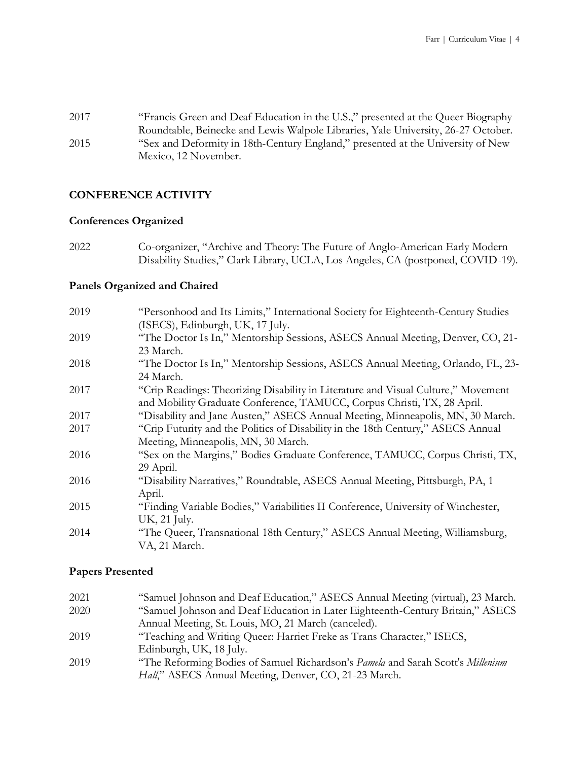2017 "Francis Green and Deaf Education in the U.S.," presented at the Queer Biography Roundtable, Beinecke and Lewis Walpole Libraries, Yale University, 26-27 October. 2015 "Sex and Deformity in 18th-Century England," presented at the University of New Mexico, 12 November.

#### **CONFERENCE ACTIVITY**

#### **Conferences Organized**

2022 Co-organizer, "Archive and Theory: The Future of Anglo-American Early Modern Disability Studies," Clark Library, UCLA, Los Angeles, CA (postponed, COVID-19).

#### **Panels Organized and Chaired**

| 2019 | "Personhood and Its Limits," International Society for Eighteenth-Century Studies |
|------|-----------------------------------------------------------------------------------|
|      | (ISECS), Edinburgh, UK, 17 July.                                                  |
| 2019 | "The Doctor Is In," Mentorship Sessions, ASECS Annual Meeting, Denver, CO, 21-    |
|      | 23 March.                                                                         |
| 2018 | "The Doctor Is In," Mentorship Sessions, ASECS Annual Meeting, Orlando, FL, 23-   |
|      | 24 March.                                                                         |
| 2017 | "Crip Readings: Theorizing Disability in Literature and Visual Culture," Movement |
|      | and Mobility Graduate Conference, TAMUCC, Corpus Christi, TX, 28 April.           |
| 2017 | "Disability and Jane Austen," ASECS Annual Meeting, Minneapolis, MN, 30 March.    |
| 2017 | "Crip Futurity and the Politics of Disability in the 18th Century," ASECS Annual  |
|      | Meeting, Minneapolis, MN, 30 March.                                               |
| 2016 | "Sex on the Margins," Bodies Graduate Conference, TAMUCC, Corpus Christi, TX,     |
|      | 29 April.                                                                         |
| 2016 | "Disability Narratives," Roundtable, ASECS Annual Meeting, Pittsburgh, PA, 1      |
|      | April.                                                                            |
| 2015 | "Finding Variable Bodies," Variabilities II Conference, University of Winchester, |
|      | UK, 21 July.                                                                      |
| 2014 | "The Queer, Transnational 18th Century," ASECS Annual Meeting, Williamsburg,      |
|      | VA, 21 March.                                                                     |
|      |                                                                                   |

#### **Papers Presented**

| 2021 | "Samuel Johnson and Deaf Education," ASECS Annual Meeting (virtual), 23 March.  |
|------|---------------------------------------------------------------------------------|
| 2020 | "Samuel Johnson and Deaf Education in Later Eighteenth-Century Britain," ASECS  |
|      | Annual Meeting, St. Louis, MO, 21 March (canceled).                             |
| 2019 | "Teaching and Writing Queer: Harriet Freke as Trans Character," ISECS,          |
|      | Edinburgh, UK, 18 July.                                                         |
| 2019 | "The Reforming Bodies of Samuel Richardson's Pamela and Sarah Scott's Millenium |
|      | Hall," ASECS Annual Meeting, Denver, CO, 21-23 March.                           |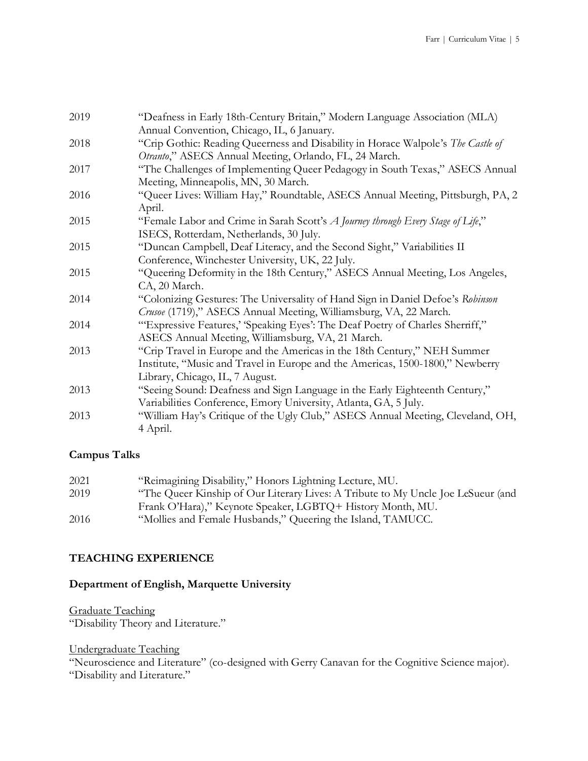| 2019 | "Deafness in Early 18th-Century Britain," Modern Language Association (MLA)                                                                                                                                    |
|------|----------------------------------------------------------------------------------------------------------------------------------------------------------------------------------------------------------------|
| 2018 | Annual Convention, Chicago, IL, 6 January.<br>"Crip Gothic: Reading Queerness and Disability in Horace Walpole's The Castle of                                                                                 |
| 2017 | Otranto," ASECS Annual Meeting, Orlando, FL, 24 March.<br>"The Challenges of Implementing Queer Pedagogy in South Texas," ASECS Annual                                                                         |
| 2016 | Meeting, Minneapolis, MN, 30 March.<br>"Queer Lives: William Hay," Roundtable, ASECS Annual Meeting, Pittsburgh, PA, 2<br>April.                                                                               |
| 2015 | "Female Labor and Crime in Sarah Scott's A Journey through Every Stage of Life,"<br>ISECS, Rotterdam, Netherlands, 30 July.                                                                                    |
| 2015 | "Duncan Campbell, Deaf Literacy, and the Second Sight," Variabilities II<br>Conference, Winchester University, UK, 22 July.                                                                                    |
| 2015 | "Queening Deformity in the 18th Century," ASECS Annual Meeting, Los Angeles,                                                                                                                                   |
| 2014 | CA, 20 March.<br>"Colonizing Gestures: The Universality of Hand Sign in Daniel Defoe's Robinson                                                                                                                |
| 2014 | Crusoe (1719)," ASECS Annual Meeting, Williamsburg, VA, 22 March.<br>"Expressive Features,' 'Speaking Eyes': The Deaf Poetry of Charles Sherriff,"                                                             |
| 2013 | ASECS Annual Meeting, Williamsburg, VA, 21 March.<br>"Crip Travel in Europe and the Americas in the 18th Century," NEH Summer<br>Institute, "Music and Travel in Europe and the Americas, 1500-1800," Newberry |
| 2013 | Library, Chicago, IL, 7 August.<br>"Seeing Sound: Deafness and Sign Language in the Early Eighteenth Century,"<br>Variabilities Conference, Emory University, Atlanta, GA, 5 July.                             |
| 2013 | "William Hay's Critique of the Ugly Club," ASECS Annual Meeting, Cleveland, OH,<br>4 April.                                                                                                                    |

# **Campus Talks**

| 2021 | "Reimagining Disability," Honors Lightning Lecture, MU.                          |
|------|----------------------------------------------------------------------------------|
| 2019 | "The Queer Kinship of Our Literary Lives: A Tribute to My Uncle Joe LeSueur (and |
|      | Frank O'Hara)," Keynote Speaker, LGBTQ+ History Month, MU.                       |
| 2016 | "Mollies and Female Husbands," Queering the Island, TAMUCC.                      |

# **TEACHING EXPERIENCE**

# **Department of English, Marquette University**

Graduate Teaching

"Disability Theory and Literature."

Undergraduate Teaching

"Neuroscience and Literature" (co-designed with Gerry Canavan for the Cognitive Science major). "Disability and Literature."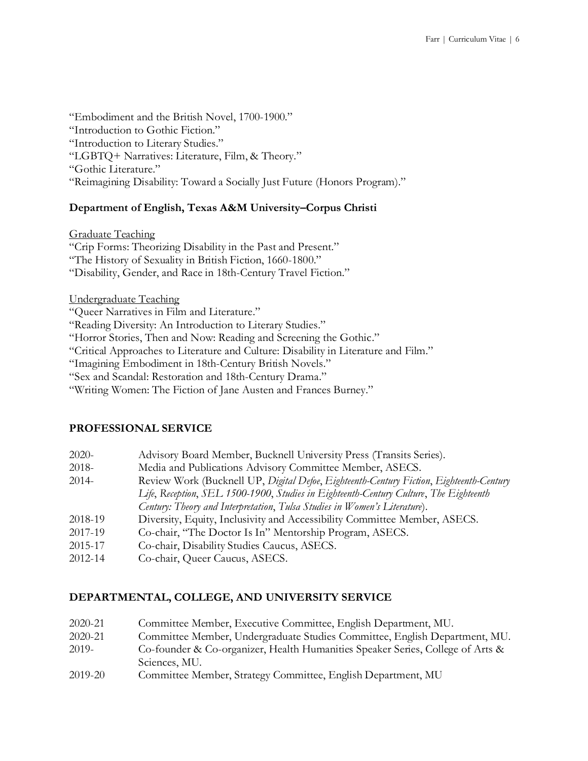"Embodiment and the British Novel, 1700-1900." "Introduction to Gothic Fiction." "Introduction to Literary Studies." "LGBTQ+ Narratives: Literature, Film, & Theory." "Gothic Literature." "Reimagining Disability: Toward a Socially Just Future (Honors Program)."

### **Department of English, Texas A&M University–Corpus Christi**

Graduate Teaching "Crip Forms: Theorizing Disability in the Past and Present." "The History of Sexuality in British Fiction, 1660-1800." "Disability, Gender, and Race in 18th-Century Travel Fiction."

Undergraduate Teaching

"Queer Narratives in Film and Literature."

"Reading Diversity: An Introduction to Literary Studies."

"Horror Stories, Then and Now: Reading and Screening the Gothic."

"Critical Approaches to Literature and Culture: Disability in Literature and Film."

"Imagining Embodiment in 18th-Century British Novels."

"Sex and Scandal: Restoration and 18th-Century Drama."

"Writing Women: The Fiction of Jane Austen and Frances Burney."

#### **PROFESSIONAL SERVICE**

| 2020- |  |  | Advisory Board Member, Bucknell University Press (Transits Series). |
|-------|--|--|---------------------------------------------------------------------|
|-------|--|--|---------------------------------------------------------------------|

2018- Media and Publications Advisory Committee Member, ASECS.

- 2014- Review Work (Bucknell UP, *Digital Defoe*, *Eighteenth-Century Fiction*, *Eighteenth-Century Life*, *Reception*, *SEL 1500-1900*, *Studies in Eighteenth-Century Culture*, *The Eighteenth Century: Theory and Interpretation*, *Tulsa Studies in Women's Literature*).
- 2018-19 Diversity, Equity, Inclusivity and Accessibility Committee Member, ASECS.
- 2017-19 Co-chair, "The Doctor Is In" Mentorship Program, ASECS.
- 2015-17 Co-chair, Disability Studies Caucus, ASECS.
- 2012-14 Co-chair, Queer Caucus, ASECS.

## **DEPARTMENTAL, COLLEGE, AND UNIVERSITY SERVICE**

| 2020-21 | Committee Member, Executive Committee, English Department, MU.                 |
|---------|--------------------------------------------------------------------------------|
| 2020-21 | Committee Member, Undergraduate Studies Committee, English Department, MU.     |
| 2019-   | Co-founder & Co-organizer, Health Humanities Speaker Series, College of Arts & |
|         | Sciences, MU.                                                                  |
| 2019-20 | Committee Member, Strategy Committee, English Department, MU                   |